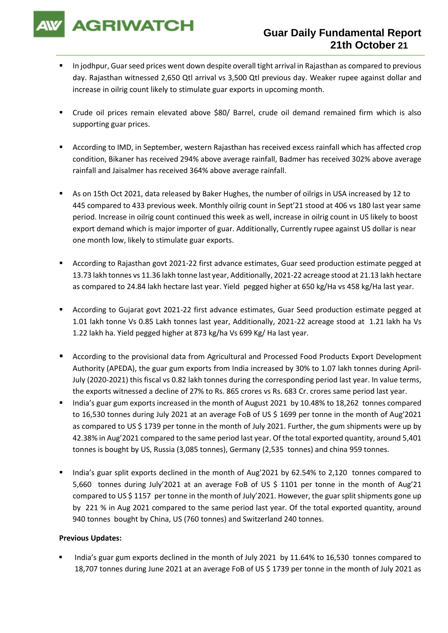

- In jodhpur, Guar seed prices went down despite overall tight arrival in Rajasthan as compared to previous day. Rajasthan witnessed 2,650 Qtl arrival vs 3,500 Qtl previous day. Weaker rupee against dollar and increase in oilrig count likely to stimulate guar exports in upcoming month.
- Crude oil prices remain elevated above \$80/ Barrel, crude oil demand remained firm which is also supporting guar prices.
- According to IMD, in September, western Rajasthan has received excess rainfall which has affected crop condition, Bikaner has received 294% above average rainfall, Badmer has received 302% above average rainfall and Jaisalmer has received 364% above average rainfall.
- As on 15th Oct 2021, data released by Baker Hughes, the number of oilrigs in USA increased by 12 to 445 compared to 433 previous week. Monthly oilrig count in Sept'21 stood at 406 vs 180 last year same period. Increase in oilrig count continued this week as well, increase in oilrig count in US likely to boost export demand which is major importer of guar. Additionally, Currently rupee against US dollar is near one month low, likely to stimulate guar exports.
- According to Rajasthan govt 2021-22 first advance estimates, Guar seed production estimate pegged at 13.73 lakh tonnes vs 11.36 lakh tonne last year, Additionally, 2021-22 acreage stood at 21.13 lakh hectare as compared to 24.84 lakh hectare last year. Yield pegged higher at 650 kg/Ha vs 458 kg/Ha last year.
- According to Gujarat govt 2021-22 first advance estimates, Guar Seed production estimate pegged at 1.01 lakh tonne Vs 0.85 Lakh tonnes last year, Additionally, 2021-22 acreage stood at 1.21 lakh ha Vs 1.22 lakh ha. Yield pegged higher at 873 kg/ha Vs 699 Kg/ Ha last year.
- According to the provisional data from Agricultural and Processed Food Products Export Development Authority (APEDA), the guar gum exports from India increased by 30% to 1.07 lakh tonnes during April-July (2020-2021) this fiscal vs 0.82 lakh tonnes during the corresponding period last year. In value terms, the exports witnessed a decline of 27% to Rs. 865 crores vs Rs. 683 Cr. crores same period last year.
- India's guar gum exports increased in the month of August 2021 by 10.48% to 18,262 tonnes compared to 16,530 tonnes during July 2021 at an average FoB of US \$ 1699 per tonne in the month of Aug'2021 as compared to US \$ 1739 per tonne in the month of July 2021. Further, the gum shipments were up by 42.38% in Aug'2021 compared to the same period last year. Of the total exported quantity, around 5,401 tonnes is bought by US, Russia (3,085 tonnes), Germany (2,535 tonnes) and china 959 tonnes.
- India's guar split exports declined in the month of Aug'2021 by 62.54% to 2,120 tonnes compared to 5,660 tonnes during July'2021 at an average FoB of US \$ 1101 per tonne in the month of Aug'21 compared to US \$ 1157 per tonne in the month of July'2021. However, the guar split shipments gone up by 221 % in Aug 2021 compared to the same period last year. Of the total exported quantity, around 940 tonnes bought by China, US (760 tonnes) and Switzerland 240 tonnes.

## **Previous Updates:**

India's guar gum exports declined in the month of July 2021 by 11.64% to 16,530 tonnes compared to 18,707 tonnes during June 2021 at an average FoB of US \$ 1739 per tonne in the month of July 2021 as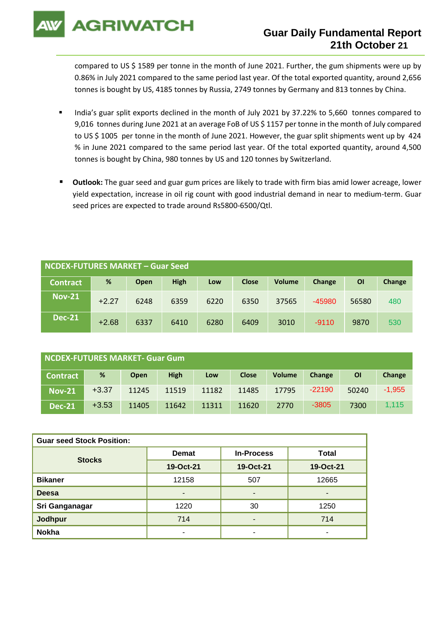**AGRIWATCH** 

## **Guar Daily Fundamental Report 21th October 21**

compared to US \$ 1589 per tonne in the month of June 2021. Further, the gum shipments were up by 0.86% in July 2021 compared to the same period last year. Of the total exported quantity, around 2,656 tonnes is bought by US, 4185 tonnes by Russia, 2749 tonnes by Germany and 813 tonnes by China.

- India's guar split exports declined in the month of July 2021 by 37.22% to 5,660 tonnes compared to 9,016 tonnes during June 2021 at an average FoB of US \$ 1157 per tonne in the month of July compared to US \$ 1005 per tonne in the month of June 2021. However, the guar split shipments went up by 424 % in June 2021 compared to the same period last year. Of the total exported quantity, around 4,500 tonnes is bought by China, 980 tonnes by US and 120 tonnes by Switzerland.
- Outlook: The guar seed and guar gum prices are likely to trade with firm bias amid lower acreage, lower yield expectation, increase in oil rig count with good industrial demand in near to medium-term. Guar seed prices are expected to trade around Rs5800-6500/Qtl.

| <b>NCDEX-FUTURES MARKET - Guar Seed</b> |         |      |             |      |              |               |          |       |        |
|-----------------------------------------|---------|------|-------------|------|--------------|---------------|----------|-------|--------|
| <b>Contract</b>                         | %       | Open | <b>High</b> | Low  | <b>Close</b> | <b>Volume</b> | Change   | ΟI    | Change |
| <b>Nov-21</b>                           | $+2.27$ | 6248 | 6359        | 6220 | 6350         | 37565         | $-45980$ | 56580 | 480    |
| <b>Dec-21</b>                           | $+2.68$ | 6337 | 6410        | 6280 | 6409         | 3010          | $-9110$  | 9870  | 530    |

| NCDEX-FUTURES MARKET- Guar Gum |         |             |             |       |              |               |          |       |          |
|--------------------------------|---------|-------------|-------------|-------|--------------|---------------|----------|-------|----------|
| <b>Contract</b>                | %       | <b>Open</b> | <b>High</b> | Low   | <b>Close</b> | <b>Volume</b> | Change   | ΟI    | Change   |
| <b>Nov-21</b>                  | $+3.37$ | 11245       | 11519       | 11182 | 11485        | 17795         | $-22190$ | 50240 | $-1,955$ |
| <b>Dec-21</b>                  | $+3.53$ | 11405       | 11642       | 11311 | 11620        | 2770          | $-3805$  | 7300  | 1.115    |

| <b>Guar seed Stock Position:</b> |              |                          |              |  |  |  |  |
|----------------------------------|--------------|--------------------------|--------------|--|--|--|--|
| <b>Stocks</b>                    | <b>Demat</b> | <b>In-Process</b>        | <b>Total</b> |  |  |  |  |
|                                  | 19-Oct-21    | 19-Oct-21                | 19-Oct-21    |  |  |  |  |
| <b>Bikaner</b>                   | 12158        | 507                      | 12665        |  |  |  |  |
| <b>Deesa</b>                     | ٠            | -                        | -            |  |  |  |  |
| Sri Ganganagar                   | 1220         | 30                       | 1250         |  |  |  |  |
| <b>Jodhpur</b>                   | 714          | -                        | 714          |  |  |  |  |
| <b>Nokha</b>                     | -            | $\overline{\phantom{a}}$ | -            |  |  |  |  |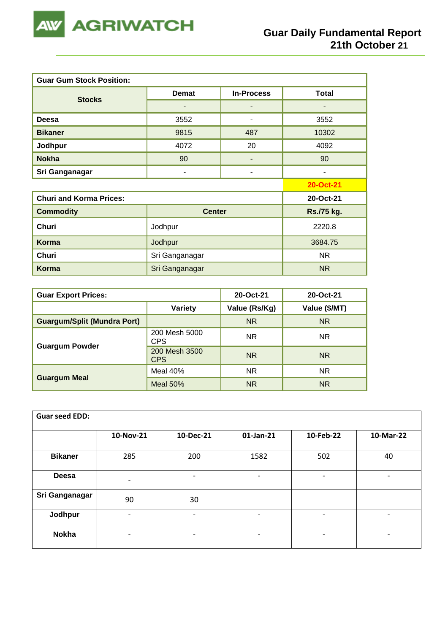

| <b>Guar Gum Stock Position:</b> |                |                   |                |  |  |  |  |
|---------------------------------|----------------|-------------------|----------------|--|--|--|--|
| <b>Stocks</b>                   | <b>Demat</b>   | <b>In-Process</b> | <b>Total</b>   |  |  |  |  |
|                                 |                |                   |                |  |  |  |  |
| <b>Deesa</b>                    | 3552           | ۰                 | 3552           |  |  |  |  |
| <b>Bikaner</b>                  | 9815           | 487               | 10302          |  |  |  |  |
| Jodhpur                         | 4072           | 20                | 4092           |  |  |  |  |
| <b>Nokha</b>                    | 90             |                   | 90             |  |  |  |  |
| Sri Ganganagar                  | -              | -                 | $\blacksquare$ |  |  |  |  |
|                                 |                |                   | 20-Oct-21      |  |  |  |  |
| <b>Churi and Korma Prices:</b>  |                |                   | 20-Oct-21      |  |  |  |  |
| <b>Commodity</b>                | <b>Center</b>  |                   | Rs./75 kg.     |  |  |  |  |
| <b>Churi</b>                    | Jodhpur        |                   |                |  |  |  |  |
| Korma                           | Jodhpur        | 3684.75           |                |  |  |  |  |
| Churi                           | Sri Ganganagar | NR.               |                |  |  |  |  |
| <b>Korma</b>                    | Sri Ganganagar | N <sub>R</sub>    |                |  |  |  |  |

| <b>Guar Export Prices:</b>         | 20-Oct-21                   | 20-Oct-21     |               |
|------------------------------------|-----------------------------|---------------|---------------|
|                                    | Variety                     | Value (Rs/Kg) | Value (\$/MT) |
| <b>Guargum/Split (Mundra Port)</b> |                             | <b>NR</b>     | <b>NR</b>     |
|                                    | 200 Mesh 5000<br><b>CPS</b> | NR.           | NR.           |
| <b>Guargum Powder</b>              | 200 Mesh 3500<br><b>CPS</b> | <b>NR</b>     | NR.           |
|                                    | Meal 40%                    | NR.           | NR.           |
| <b>Guargum Meal</b>                | <b>Meal 50%</b>             | <b>NR</b>     | <b>NR</b>     |

| <b>Guar seed EDD:</b> |                              |                          |                              |                          |           |
|-----------------------|------------------------------|--------------------------|------------------------------|--------------------------|-----------|
|                       | 10-Nov-21                    | 10-Dec-21                | 01-Jan-21                    | 10-Feb-22                | 10-Mar-22 |
| <b>Bikaner</b>        | 285                          | 200                      | 1582                         | 502                      | 40        |
| <b>Deesa</b>          | $\qquad \qquad \blacksquare$ | $\overline{\phantom{0}}$ | $\overline{\phantom{a}}$     | $\overline{\phantom{a}}$ |           |
| Sri Ganganagar        | 90                           | 30                       |                              |                          |           |
| Jodhpur               | ٠                            |                          | -                            | $\overline{\phantom{a}}$ |           |
| <b>Nokha</b>          | $\overline{\phantom{a}}$     |                          | $\qquad \qquad \blacksquare$ | $\overline{\phantom{a}}$ |           |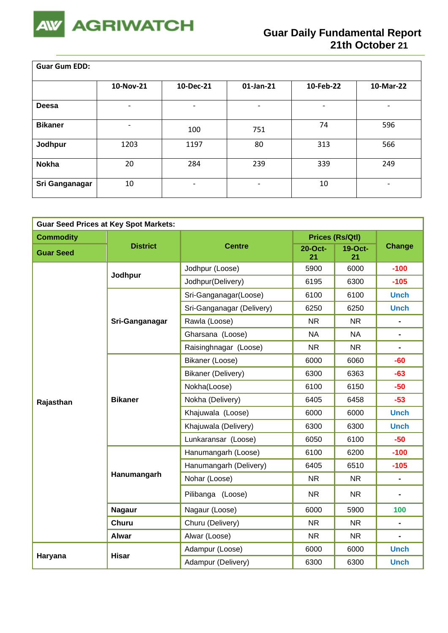

 $\overline{\phantom{a}}$ 

| <b>Guar Gum EDD:</b> |                              |           |                          |           |                          |  |  |  |
|----------------------|------------------------------|-----------|--------------------------|-----------|--------------------------|--|--|--|
|                      | 10-Nov-21                    | 10-Dec-21 | $01$ -Jan-21             | 10-Feb-22 | 10-Mar-22                |  |  |  |
| Deesa                | $\overline{\phantom{0}}$     |           |                          |           | $\overline{\phantom{a}}$ |  |  |  |
| <b>Bikaner</b>       | $\qquad \qquad \blacksquare$ | 100       | 751                      | 74        | 596                      |  |  |  |
| Jodhpur              | 1203                         | 1197      | 80                       | 313       | 566                      |  |  |  |
| <b>Nokha</b>         | 20                           | 284       | 239                      | 339       | 249                      |  |  |  |
| Sri Ganganagar       | 10                           | -         | $\overline{\phantom{0}}$ | 10        | $\overline{\phantom{a}}$ |  |  |  |

| <b>Guar Seed Prices at Key Spot Markets:</b> |                 |                           |               |                 |                              |  |  |
|----------------------------------------------|-----------------|---------------------------|---------------|-----------------|------------------------------|--|--|
| <b>Commodity</b>                             |                 |                           |               | Prices (Rs/Qtl) |                              |  |  |
| <b>Guar Seed</b>                             | <b>District</b> | <b>Centre</b>             | 20-Oct-<br>21 | 19-Oct-<br>21   | <b>Change</b>                |  |  |
|                                              | Jodhpur         | Jodhpur (Loose)           | 5900          | 6000            | $-100$                       |  |  |
|                                              |                 | Jodhpur(Delivery)         | 6195          | 6300            | $-105$                       |  |  |
|                                              |                 | Sri-Ganganagar(Loose)     | 6100          | 6100            | <b>Unch</b>                  |  |  |
|                                              |                 | Sri-Ganganagar (Delivery) | 6250          | 6250            | <b>Unch</b>                  |  |  |
|                                              | Sri-Ganganagar  | Rawla (Loose)             | <b>NR</b>     | <b>NR</b>       | $\blacksquare$               |  |  |
|                                              |                 | Gharsana (Loose)          | <b>NA</b>     | <b>NA</b>       | $\blacksquare$               |  |  |
|                                              |                 | Raisinghnagar (Loose)     | <b>NR</b>     | <b>NR</b>       | $\qquad \qquad \blacksquare$ |  |  |
|                                              | <b>Bikaner</b>  | Bikaner (Loose)           | 6000          | 6060            | $-60$                        |  |  |
|                                              |                 | <b>Bikaner (Delivery)</b> | 6300          | 6363            | $-63$                        |  |  |
|                                              |                 | Nokha(Loose)              | 6100          | 6150            | $-50$                        |  |  |
| Rajasthan                                    |                 | Nokha (Delivery)          | 6405          | 6458            | $-53$                        |  |  |
|                                              |                 | Khajuwala (Loose)         | 6000          | 6000            | <b>Unch</b>                  |  |  |
|                                              |                 | Khajuwala (Delivery)      | 6300          | 6300            | <b>Unch</b>                  |  |  |
|                                              |                 | Lunkaransar (Loose)       | 6050          | 6100            | $-50$                        |  |  |
|                                              |                 | Hanumangarh (Loose)       | 6100          | 6200            | $-100$                       |  |  |
|                                              |                 | Hanumangarh (Delivery)    | 6405          | 6510            | $-105$                       |  |  |
|                                              | Hanumangarh     | Nohar (Loose)             | <b>NR</b>     | <b>NR</b>       | $\blacksquare$               |  |  |
|                                              |                 | Pilibanga (Loose)         | <b>NR</b>     | <b>NR</b>       |                              |  |  |
|                                              | <b>Nagaur</b>   | Nagaur (Loose)            | 6000          | 5900            | 100                          |  |  |
|                                              | <b>Churu</b>    | Churu (Delivery)          | <b>NR</b>     | <b>NR</b>       | $\blacksquare$               |  |  |
|                                              | <b>Alwar</b>    | Alwar (Loose)             | <b>NR</b>     | <b>NR</b>       | $\blacksquare$               |  |  |
|                                              |                 | Adampur (Loose)           | 6000          | 6000            | <b>Unch</b>                  |  |  |
| Haryana                                      | <b>Hisar</b>    | Adampur (Delivery)        | 6300          | 6300            | <b>Unch</b>                  |  |  |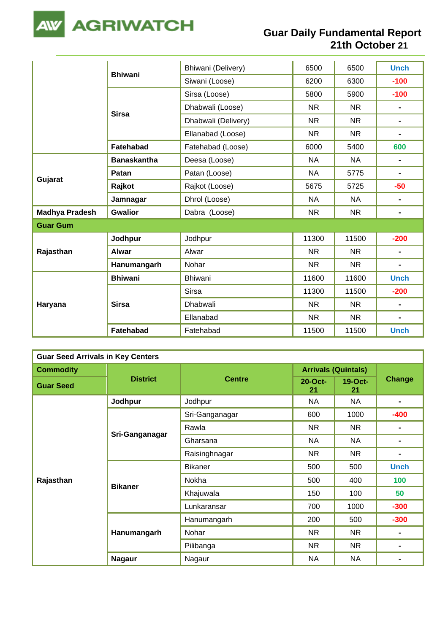

|                       |                    | Bhiwani (Delivery)  | 6500      | 6500      | <b>Unch</b>                  |
|-----------------------|--------------------|---------------------|-----------|-----------|------------------------------|
|                       | <b>Bhiwani</b>     | Siwani (Loose)      | 6200      | 6300      | $-100$                       |
|                       |                    | Sirsa (Loose)       | 5800      | 5900      | $-100$                       |
|                       |                    | Dhabwali (Loose)    | <b>NR</b> | <b>NR</b> | $\blacksquare$               |
|                       | <b>Sirsa</b>       | Dhabwali (Delivery) | <b>NR</b> | <b>NR</b> | $\blacksquare$               |
|                       |                    | Ellanabad (Loose)   | <b>NR</b> | <b>NR</b> | $\qquad \qquad \blacksquare$ |
|                       | <b>Fatehabad</b>   | Fatehabad (Loose)   | 6000      | 5400      | 600                          |
|                       | <b>Banaskantha</b> | Deesa (Loose)       | <b>NA</b> | <b>NA</b> | $\blacksquare$               |
|                       | Patan              | Patan (Loose)       | <b>NA</b> | 5775      | $\blacksquare$               |
| Gujarat               | Rajkot             | Rajkot (Loose)      | 5675      | 5725      | $-50$                        |
|                       | Jamnagar           | Dhrol (Loose)       | <b>NA</b> | <b>NA</b> | $\qquad \qquad \blacksquare$ |
| <b>Madhya Pradesh</b> | <b>Gwalior</b>     | Dabra (Loose)       | <b>NR</b> | <b>NR</b> | $\blacksquare$               |
| <b>Guar Gum</b>       |                    |                     |           |           |                              |
|                       | Jodhpur            | Jodhpur             | 11300     | 11500     | $-200$                       |
| Rajasthan             | <b>Alwar</b>       | Alwar               | <b>NR</b> | <b>NR</b> | $\blacksquare$               |
|                       | Hanumangarh        | Nohar               | <b>NR</b> | <b>NR</b> | $\blacksquare$               |
|                       | <b>Bhiwani</b>     | <b>Bhiwani</b>      | 11600     | 11600     | <b>Unch</b>                  |
| Haryana               |                    | Sirsa               | 11300     | 11500     | $-200$                       |
|                       | <b>Sirsa</b>       | Dhabwali            | <b>NR</b> | <b>NR</b> | $\blacksquare$               |
|                       |                    | Ellanabad           | NR.       | NR.       | $\blacksquare$               |
|                       | <b>Fatehabad</b>   | Fatehabad           | 11500     | 11500     | <b>Unch</b>                  |

| <b>Guar Seed Arrivals in Key Centers</b> |                 |                |                            |                 |                |  |  |  |
|------------------------------------------|-----------------|----------------|----------------------------|-----------------|----------------|--|--|--|
| <b>Commodity</b>                         |                 |                | <b>Arrivals (Quintals)</b> |                 |                |  |  |  |
| <b>Guar Seed</b>                         | <b>District</b> | <b>Centre</b>  | $20$ -Oct-<br>21           | $19-Oct-$<br>21 | <b>Change</b>  |  |  |  |
|                                          | Jodhpur         | Jodhpur        | NA                         | <b>NA</b>       | $\blacksquare$ |  |  |  |
|                                          |                 | Sri-Ganganagar | 600                        | 1000            | $-400$         |  |  |  |
|                                          |                 | Rawla          | <b>NR</b>                  | <b>NR</b>       |                |  |  |  |
|                                          | Sri-Ganganagar  | Gharsana       | <b>NA</b>                  | NA              |                |  |  |  |
|                                          |                 | Raisinghnagar  | <b>NR</b>                  | <b>NR</b>       | $\blacksquare$ |  |  |  |
|                                          |                 | <b>Bikaner</b> | 500                        | 500             | <b>Unch</b>    |  |  |  |
| Rajasthan                                |                 | Nokha          | 500                        | 400             | 100            |  |  |  |
|                                          | <b>Bikaner</b>  | Khajuwala      | 150                        | 100             | 50             |  |  |  |
|                                          |                 | Lunkaransar    | 700                        | 1000            | $-300$         |  |  |  |
|                                          |                 | Hanumangarh    | 200                        | 500             | $-300$         |  |  |  |
|                                          | Hanumangarh     | Nohar          | <b>NR</b>                  | <b>NR</b>       |                |  |  |  |
|                                          |                 | Pilibanga      | <b>NR</b>                  | <b>NR</b>       |                |  |  |  |
|                                          | <b>Nagaur</b>   | Nagaur         | <b>NA</b>                  | NA              |                |  |  |  |